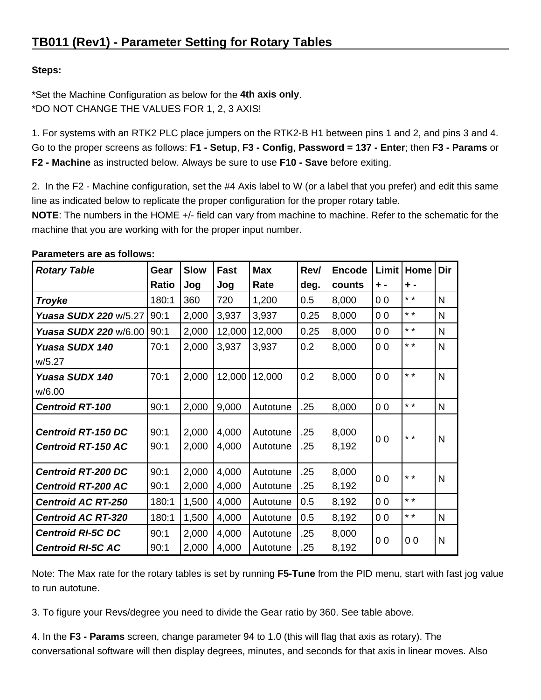# **Steps:**

\*Set the Machine Configuration as below for the **4th axis only**. \*DO NOT CHANGE THE VALUES FOR 1, 2, 3 AXIS!

1. For systems with an RTK2 PLC place jumpers on the RTK2-B H1 between pins 1 and 2, and pins 3 and 4. Go to the proper screens as follows: **F1 - Setup**, **F3 - Config**, **Password = 137 - Enter**; then **F3 - Params** or **F2 - Machine** as instructed below. Always be sure to use **F10 - Save** before exiting.

2. In the F2 - Machine configuration, set the #4 Axis label to W (or a label that you prefer) and edit this same line as indicated below to replicate the proper configuration for the proper rotary table.

**NOTE**: The numbers in the HOME +/- field can vary from machine to machine. Refer to the schematic for the machine that you are working with for the proper input number.

| <b>Rotary Table</b>       | Gear  | <b>Slow</b> | <b>Fast</b> | <b>Max</b> | Rev/ | <b>Encode</b> | Limit          | Home            | Dir          |
|---------------------------|-------|-------------|-------------|------------|------|---------------|----------------|-----------------|--------------|
|                           | Ratio | Jog         | Jog         | Rate       | deg. | counts        | $+ -$          | $+$ -           |              |
| <b>Troyke</b>             | 180:1 | 360         | 720         | 1,200      | 0.5  | 8,000         | 0 <sub>0</sub> | $* *$           | N            |
| Yuasa SUDX 220 w/5.27     | 90:1  | 2,000       | 3,937       | 3,937      | 0.25 | 8,000         | 0 <sub>0</sub> | $* *$           | $\mathsf{N}$ |
| Yuasa SUDX 220 w/6.00     | 90:1  | 2,000       | 12,000      | 12,000     | 0.25 | 8,000         | 0 <sub>0</sub> | $* *$           | N            |
| Yuasa SUDX 140            | 70:1  | 2,000       | 3,937       | 3,937      | 0.2  | 8,000         | 0 <sub>0</sub> | $\star$ $\star$ | $\mathsf{N}$ |
| W/5.27                    |       |             |             |            |      |               |                |                 |              |
| Yuasa SUDX 140            | 70:1  | 2,000       | 12,000      | 12,000     | 0.2  | 8,000         | 0 <sub>0</sub> | $* *$           | $\mathsf{N}$ |
| w/6.00                    |       |             |             |            |      |               |                |                 |              |
| <b>Centroid RT-100</b>    | 90:1  | 2,000       | 9,000       | Autotune   | .25  | 8,000         | 0 <sub>0</sub> | $* *$           | N            |
|                           |       |             |             |            |      |               | 0 <sub>0</sub> | $* *$           | N            |
| <b>Centroid RT-150 DC</b> | 90:1  | 2,000       | 4,000       | Autotune   | .25  | 8,000         |                |                 |              |
| <b>Centroid RT-150 AC</b> | 90:1  | 2,000       | 4,000       | Autotune   | .25  | 8,192         |                |                 |              |
| <b>Centroid RT-200 DC</b> | 90:1  | 2,000       | 4,000       | Autotune   | .25  | 8,000         | 0 <sub>0</sub> | $* *$           | N            |
| <b>Centroid RT-200 AC</b> | 90:1  | 2,000       | 4,000       | Autotune   | .25  | 8,192         |                |                 |              |
| <b>Centroid AC RT-250</b> | 180:1 | 1,500       | 4,000       | Autotune   | 0.5  | 8,192         | 0 <sub>0</sub> | $* *$           |              |
| <b>Centroid AC RT-320</b> | 180:1 | 1,500       | 4,000       | Autotune   | 0.5  | 8,192         | 0 <sub>0</sub> | $\star$ $\star$ | N            |
| <b>Centroid RI-5C DC</b>  | 90:1  | 2,000       | 4,000       | Autotune   | .25  | 8,000         | 0 <sub>0</sub> | 0 <sub>0</sub>  | N            |
| <b>Centroid RI-5C AC</b>  | 90:1  | 2,000       | 4,000       | Autotune   | .25  | 8,192         |                |                 |              |

**Parameters are as follows:**

Note: The Max rate for the rotary tables is set by running **F5-Tune** from the PID menu, start with fast jog value to run autotune.

3. To figure your Revs/degree you need to divide the Gear ratio by 360. See table above.

4. In the **F3 - Params** screen, change parameter 94 to 1.0 (this will flag that axis as rotary). The conversational software will then display degrees, minutes, and seconds for that axis in linear moves. Also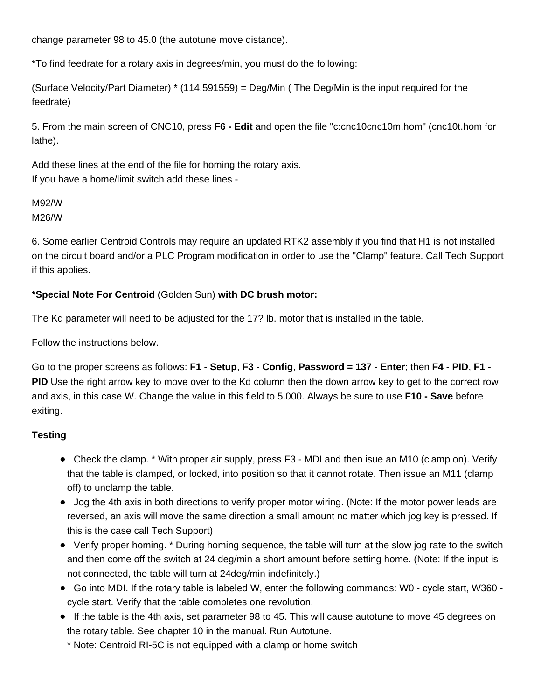change parameter 98 to 45.0 (the autotune move distance).

\*To find feedrate for a rotary axis in degrees/min, you must do the following:

(Surface Velocity/Part Diameter) \* (114.591559) = Deg/Min ( The Deg/Min is the input required for the feedrate)

5. From the main screen of CNC10, press **F6 - Edit** and open the file "c:cnc10cnc10m.hom" (cnc10t.hom for lathe).

Add these lines at the end of the file for homing the rotary axis. If you have a home/limit switch add these lines -

# M92/W M26/W

6. Some earlier Centroid Controls may require an updated RTK2 assembly if you find that H1 is not installed on the circuit board and/or a PLC Program modification in order to use the "Clamp" feature. Call Tech Support if this applies.

### **\*Special Note For Centroid** (Golden Sun) **with DC brush motor:**

The Kd parameter will need to be adjusted for the 17? lb. motor that is installed in the table.

Follow the instructions below.

Go to the proper screens as follows: **F1 - Setup**, **F3 - Config**, **Password = 137 - Enter**; then **F4 - PID**, **F1 - PID** Use the right arrow key to move over to the Kd column then the down arrow key to get to the correct row and axis, in this case W. Change the value in this field to 5.000. Always be sure to use **F10 - Save** before exiting.

# **Testing**

- Check the clamp. \* With proper air supply, press F3 MDI and then isue an M10 (clamp on). Verify that the table is clamped, or locked, into position so that it cannot rotate. Then issue an M11 (clamp off) to unclamp the table.
- Jog the 4th axis in both directions to verify proper motor wiring. (Note: If the motor power leads are reversed, an axis will move the same direction a small amount no matter which jog key is pressed. If this is the case call Tech Support)
- Verify proper homing. \* During homing sequence, the table will turn at the slow jog rate to the switch and then come off the switch at 24 deg/min a short amount before setting home. (Note: If the input is not connected, the table will turn at 24deg/min indefinitely.)
- Go into MDI. If the rotary table is labeled W, enter the following commands: W0 cycle start, W360 cycle start. Verify that the table completes one revolution.
- If the table is the 4th axis, set parameter 98 to 45. This will cause autotune to move 45 degrees on the rotary table. See chapter 10 in the manual. Run Autotune.
	- \* Note: Centroid RI-5C is not equipped with a clamp or home switch